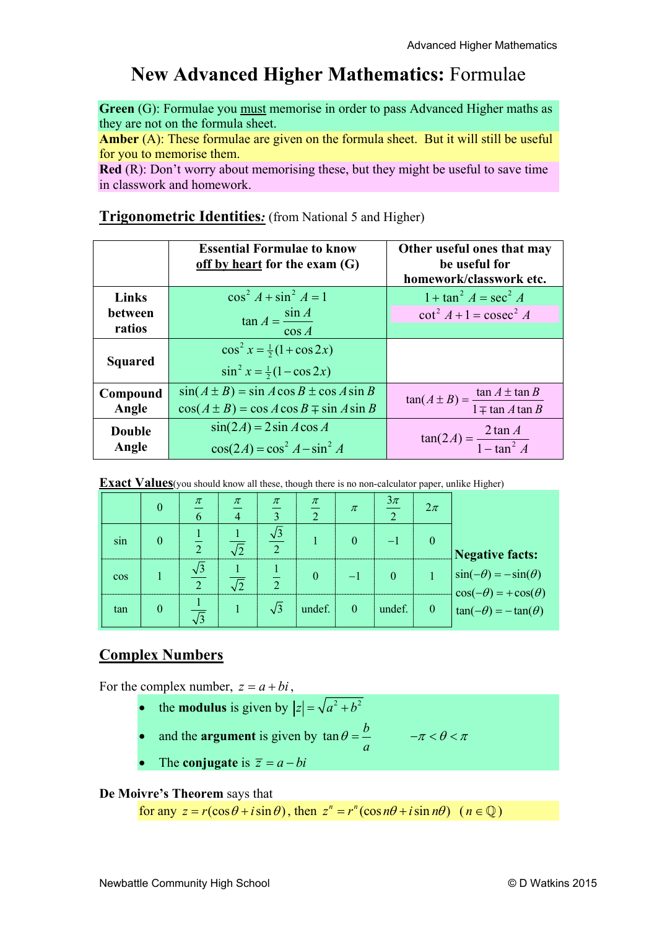# **New Advanced Higher Mathematics:** Formulae

**Green** (G): Formulae you must memorise in order to pass Advanced Higher maths as they are not on the formula sheet.

**Amber** (A): These formulae are given on the formula sheet. But it will still be useful for you to memorise them.

**Red** (R): Don't worry about memorising these, but they might be useful to save time in classwork and homework.

#### **Essential Formulae to know off by heart for the exam (G) Other useful ones that may be useful for homework/classwork etc. Links between ratios**   $\cos^2 A + \sin^2 A = 1$  $\tan A = \frac{\sin A}{\sin A}$ cos  $A = \frac{\sin A}{\cos A}$  $1 + \tan^2 A = \sec^2 A$  $\cot^2 A + 1 = \csc^2 A$ **Squared**   $\cos^2 x = \frac{1}{2} (1 + \cos 2x)$  $\sin^2 x = \frac{1}{2}(1 - \cos 2x)$ **Compound Angle**   $\sin(A \pm B) = \sin A \cos B \pm \cos A \sin B$  $\cos(A \pm B) = \cos A \cos B \mp \sin A \sin B$  $\tan(A \pm B) = \frac{\tan A \pm \tan B}{1 \mp \tan A \tan B}$ *A B*  $\pm B$ ) =  $\frac{\tan A \pm \pi}{2}$  $\overline{+}$ **Double Angle**  $\cos(2A) = \cos^2 A - \sin^2 A$  $\sin(2A) = 2\sin A \cos A$  $= 2 \sin A \cos A$ <br> $= \cos^2 A - \sin^2 A$   $\tan(2A) = \frac{2 \tan A}{1 - \tan^2 A}$

## **Trigonometric Identities***:* (from National 5 and Higher)

**Exact Values**(you should know all these, though there is no non-calculator paper, unlike Higher)

|            |   | $\pi$<br>6 | $\pi$ | $\pi$<br>$\mathbf{R}$ | $\frac{\pi}{\pi}$<br>$\gamma$ | $\pi$    | $\frac{3\pi}{2}$ | $2\pi$         |                                                                                                                               |
|------------|---|------------|-------|-----------------------|-------------------------------|----------|------------------|----------------|-------------------------------------------------------------------------------------------------------------------------------|
| sin        |   |            |       |                       |                               | 0        | $-1$             | $\theta$       | <b>Negative facts:</b>                                                                                                        |
| <b>COS</b> |   | $\bigcap$  |       |                       |                               |          | $\Omega$         |                | $\begin{cases}\n\sin(-\theta) = -\sin(\theta) \\ \cos(-\theta) = +\cos(\theta) \\ \tan(-\theta) = -\tan(\theta)\n\end{cases}$ |
| tan        | O |            |       | $\sqrt{3}$            | undef.                        | $\theta$ | undef.           | $\overline{0}$ |                                                                                                                               |

## **Complex Numbers**

For the complex number,  $z = a + bi$ ,

- the **modulus** is given by  $|z| = \sqrt{a^2 + b^2}$
- and the **argument** is given by  $\tan \theta = \frac{b}{a}$ *a*

$$
\theta = \frac{b}{\pi} \qquad -\pi < \theta < \pi
$$

The **conjugate** is  $\overline{z} = a - bi$ 

#### **De Moivre's Theorem** says that

for any  $z = r(\cos \theta + i \sin \theta)$ , then  $z^n = r^n(\cos n\theta + i \sin n\theta)$   $(n \in \mathbb{Q})$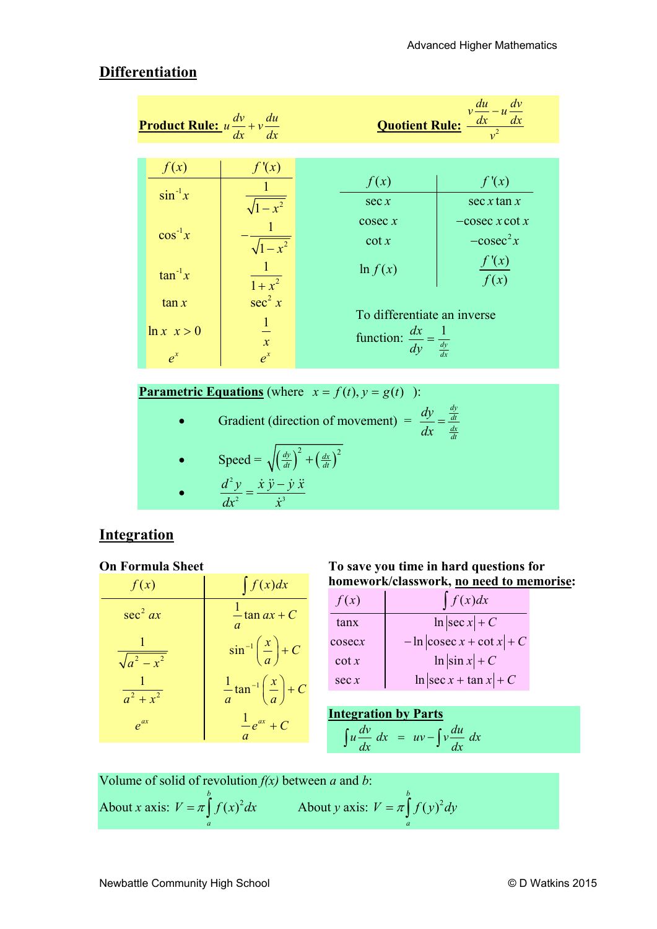## **Differentiation**

| <u>Product Rule:</u> $u \frac{dv}{dx} + v \frac{du}{dx}$ |                    |                                                                                    | <b>Quotient Rule:</b> $\frac{v \frac{du}{dx} - u \frac{dv}{dx}}{v^2}$ |
|----------------------------------------------------------|--------------------|------------------------------------------------------------------------------------|-----------------------------------------------------------------------|
|                                                          |                    |                                                                                    |                                                                       |
| f(x)                                                     | f'(x)              | f(x)                                                                               | f'(x)                                                                 |
| $\sin^{-1}x$                                             | $\sqrt{1-x^2}$     | sec x                                                                              | $\sec x \tan x$                                                       |
| $\cos^{-1}x$                                             | $\sqrt{1-x^2}$     | $\csc x$<br>$\cot x$                                                               | $-\csc x \cot x$<br>$-cosec2x$                                        |
| $\tan^{-1}x$                                             | $\frac{1}{1+x^2}$  | $\ln f(x)$                                                                         | f'(x)<br>$\overline{f(x)}$                                            |
| $\tan x$                                                 | sec <sup>2</sup> x |                                                                                    |                                                                       |
| $\ln x$ $x > 0$                                          | $\frac{1}{x}$      | To differentiate an inverse<br>function: $\frac{dx}{dy} = \frac{1}{\frac{dy}{dx}}$ |                                                                       |
| $e^{x}$                                                  | $e^{x}$            |                                                                                    |                                                                       |

**Parametric Equations** (where  $x = f(t), y = g(t)$  ):

Gradient (direction of movement)  $=$ *dy dt dx dt*  $\frac{dy}{dx} =$ Speed =  $\sqrt{\left(\frac{dy}{dt}\right)^2 + \left(\frac{dx}{dt}\right)^2}$  $\bullet$ 2 2  $\therefore$  3  $d^2y \quad \dot{x}\ddot{y} - \dot{y}\ddot{x}$  $dx^2$  *x*  $=\frac{\dot{x}\,\ddot{y}-\dot{y}\,\ddot{x}}{a}$  $rac{y}{\dot{x}^3}$ 

## **Integration**

#### **On Formula Sheet**

| f(x)             | $\int f(x)dx$                                                |
|------------------|--------------------------------------------------------------|
| $\sec^2 ax$      | $\frac{1}{2}$ tan <i>ax</i> + <i>C</i>                       |
| $\sqrt{a^2-x^2}$ | $\sin^{-1}\left(\frac{x}{a}\right) + C$                      |
| $a^2 + x^2$      | $rac{1}{a}$ tan <sup>-1</sup> $\left(\frac{x}{a}\right)$ + C |
| $e^{ax}$         | $\frac{1}{e^{ax}} + C$                                       |

#### **To save you time in hard questions for homework/classwork, no need to memorise:**

| f(x)     | $\int f(x)dx$               |
|----------|-----------------------------|
| tanx     | $\ln  \sec x  + C$          |
| cosec x  | $-\ln \csc x + \cot x  + C$ |
| $\cot x$ | $\ln  \sin x  + C$          |
| sec x    | $\ln  \sec x + \tan x  + C$ |

| <b>Integration by Parts</b> |                                                          |
|-----------------------------|----------------------------------------------------------|
|                             | $\int u \frac{dv}{dx} dx = uv - \int v \frac{du}{dx} dx$ |

Volume of solid of revolution  $f(x)$  between *a* and *b*: About *x* axis:  $V = \pi \int f(x)^2$ *b*  $V = \pi \int_{a}^{b} f(x)^{2} dx$  About *y* axis:  $V = \pi \int_{a}^{b} f(y)^{2} dx$ *b*  $V = \pi \int_{a}^{b} f(y)^2 dy$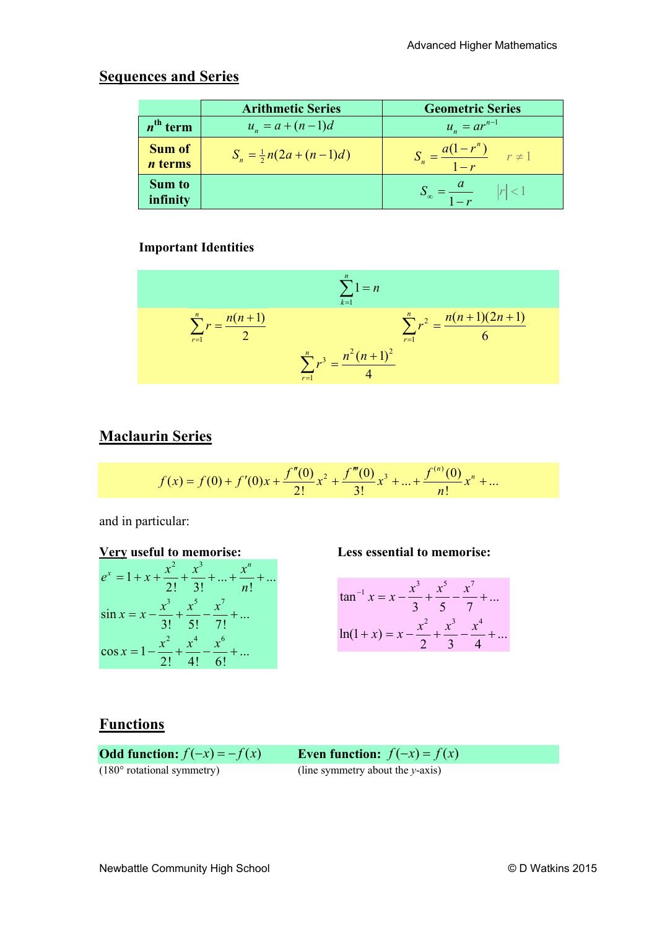## **Sequences and Series**

|                                 | <b>Arithmetic Series</b>          | <b>Geometric Series</b>                      |
|---------------------------------|-----------------------------------|----------------------------------------------|
| $n^{\text{th}}$ term            | $u_n = a + (n-1)d$                | $u_n = ar^{n-1}$                             |
| <b>Sum of</b><br><i>n</i> terms | $S_n = \frac{1}{2}n(2a + (n-1)d)$ | $S_n = \frac{a(1-r^n)}{1-r} \qquad r \neq 1$ |
| <b>Sum to</b><br>infinity       |                                   | $ r $ < 1<br><b>Tille</b>                    |

#### **Important Identities**

$$
\sum_{k=1}^{n} 1 = n
$$
  

$$
\sum_{r=1}^{n} r = \frac{n(n+1)}{2}
$$
  

$$
\sum_{r=1}^{n} r^{3} = \frac{n^{2}(n+1)^{2}}{4}
$$
  

$$
\sum_{r=1}^{n} r^{3} = \frac{n^{2}(n+1)^{2}}{4}
$$

## **Maclaurin Series**

$$
f(x) = f(0) + f'(0)x + \frac{f''(0)}{2!}x^2 + \frac{f'''(0)}{3!}x^3 + \dots + \frac{f^{(n)}(0)}{n!}x^n + \dots
$$

and in particular:



$$
\tan^{-1} x = x - \frac{x^3}{3} + \frac{x^5}{5} - \frac{x^7}{7} + \dots
$$

$$
\ln(1+x) = x - \frac{x^2}{2} + \frac{x^3}{3} - \frac{x^4}{4} + \dots
$$

## **Functions**

**Odd function:**  $f(-x) = -f(x)$  **Even function:**  $f(-x) = f(x)$ (180° rotational symmetry) (line symmetry about the *y*-axis)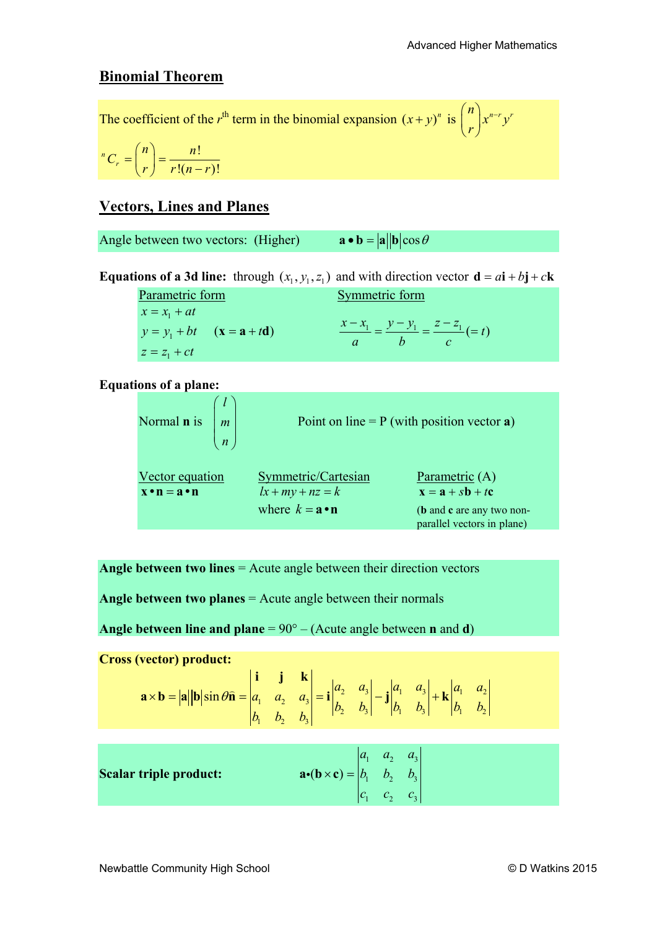#### **Binomial Theorem**

The coefficient of the *r*<sup>th</sup> term in the binomial expansion  $(x + y)^n$  is  $\binom{n}{x^{n-r}y^n}$  $\binom{n}{r}x^{n-r}$ 

$$
{}^{n}C_{r}=\binom{n}{r}=\frac{n!}{r!(n-r)!}
$$

## **Vectors, Lines and Planes**

Angle between two vectors: (Higher)  $\mathbf{a} \cdot \mathbf{b} = |\mathbf{a}| |\mathbf{b}| \cos \theta$ 

**Equations of a 3d line:** through  $(x_1, y_1, z_1)$  and with direction vector  $\mathbf{d} = a\mathbf{i} + b\mathbf{j} + c\mathbf{k}$ 

Parametric form Symmetric form  $x = x_1 + at$  $y = y_1 + bt$  (**x** = **a** + t**d**)  $z = z_1 + ct$ **x** = **a** + **td**)  $\frac{x - x_1}{x_1} = \frac{y - y_1}{y_1} = \frac{z - z_1}{z_1} (= t)$ *abc*  $\frac{-x_1}{\cdot} = \frac{y - y_1}{\cdot} = \frac{z - z_1}{\cdot} =$ 

#### **Equations of a plane:**

| Normal <b>n</b> is $\left  m \right $      | $\overline{n}$ |                                                                                | Point on line = $P$ (with position vector a)                                                                                                      |
|--------------------------------------------|----------------|--------------------------------------------------------------------------------|---------------------------------------------------------------------------------------------------------------------------------------------------|
| Vector equation<br>$x \cdot n = a \cdot n$ |                | Symmetric/Cartesian<br>$lx+my+nz=k$<br>where $k = \mathbf{a} \cdot \mathbf{n}$ | Parametric (A)<br>$\mathbf{x} = \mathbf{a} + s\mathbf{b} + t\mathbf{c}$<br>( <b>b</b> and <b>c</b> are any two non-<br>parallel vectors in plane) |

**Angle between two lines** = Acute angle between their direction vectors

**Angle between two planes** = Acute angle between their normals

**Angle between line and plane** = 90° – (Acute angle between **n** and **d**)

**Cross (vector) product:**

| $\mathbf{a} \times \mathbf{b} =  \mathbf{a}  \mathbf{b} \sin \theta \hat{\mathbf{n}} = \begin{vmatrix} \mathbf{i} & \mathbf{j} & \mathbf{k} \\ a_1 & a_2 & a_3 \\ b_1 & b_2 & b_3 \end{vmatrix} = \mathbf{i} \begin{vmatrix} a_2 & a_3 \\ b_2 & b_3 \end{vmatrix} - \mathbf{j} \begin{vmatrix} a_1 & a_3 \\ b_1 & b_3 \end{vmatrix} + \mathbf{k} \begin{vmatrix} a_1 & a_2 \\ b_1 & b_2 \end{vmatrix}$ |  |  |  |  |
|--------------------------------------------------------------------------------------------------------------------------------------------------------------------------------------------------------------------------------------------------------------------------------------------------------------------------------------------------------------------------------------------------------|--|--|--|--|
|                                                                                                                                                                                                                                                                                                                                                                                                        |  |  |  |  |

|                               |                                                                                 | $\begin{vmatrix} a_1 & a_2 & a_3 \end{vmatrix}$ |  |
|-------------------------------|---------------------------------------------------------------------------------|-------------------------------------------------|--|
| <b>Scalar triple product:</b> | $ \mathbf{a} \cdot (\mathbf{b} \times \mathbf{c})  =  b_1 \quad b_2 \quad b_3 $ |                                                 |  |
|                               |                                                                                 | $ c_1 \quad c_2 \quad c_3 $                     |  |